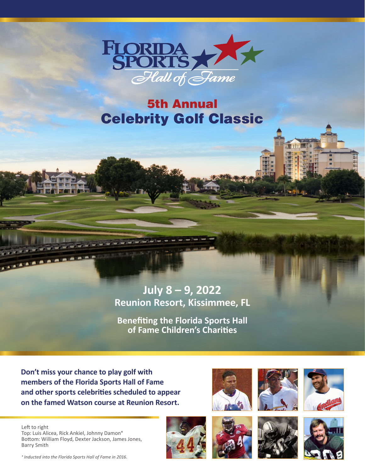

# 5th Annual Celebrity Golf Classic

## **July 8 – 9, 2022 Reunion Resort, Kissimmee, FL**

**Benefiting the Florida Sports Hall of Fame Children's Charities**

**Don't miss your chance to play golf with members of the Florida Sports Hall of Fame and other sports celebrities scheduled to appear on the famed Watson course at Reunion Resort.**













Top: Luis Alicea, Rick Ankiel, Johnny Damon\* Bottom: William Floyd, Dexter Jackson, James Jones, Barry Smith

*\* Inducted into the Florida Sports Hall of Fame in 2016.*

Left to right